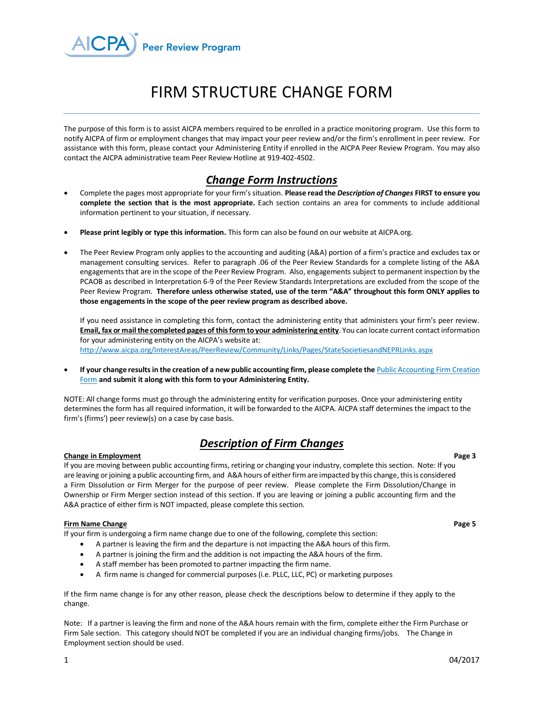

# FIRM STRUCTURE CHANGE FORM

The purpose of this form is to assist AICPA members required to be enrolled in a practice monitoring program. Use this form to notify AICPA of firm or employment changes that may impact your peer review and/or the firm's enrollment in peer review. For assistance with this form, please contact your Administering Entity if enrolled in the AICPA Peer Review Program. You may also contact the AICPA administrative team Peer Review Hotline at 919-402-4502.

### *Change Form Instructions*

- Complete the pages most appropriate for your firm's situation. **Please read the** *Description of Changes* **FIRST to ensure you complete the section that is the most appropriate.** Each section contains an area for comments to include additional information pertinent to your situation, if necessary.
- **Please print legibly or type this information.** This form can also be found on our website at AICPA.org.
- The Peer Review Program only applies to the accounting and auditing (A&A) portion of a firm's practice and excludes tax or management consulting services. Refer to paragraph .06 of the Peer Review Standards for a complete listing of the A&A engagements that are in the scope of the Peer Review Program. Also, engagements subject to permanent inspection by the PCAOB as described in Interpretation 6-9 of the Peer Review Standards Interpretations are excluded from the scope of the Peer Review Program. **Therefore unless otherwise stated, use of the term "A&A" throughout this form ONLY applies to those engagements in the scope of the peer review program as described above.**

If you need assistance in completing this form, contact the administering entity that administers your firm's peer review. **Email, fax or mail the completed pages of this form to your administering entity**. You can locate current contact information for your administering entity on the AICPA's website at: <http://www.aicpa.org/InterestAreas/PeerReview/Community/Links/Pages/StateSocietiesandNEPRLinks.aspx>

If your change results in the creation of a new public accounting firm, please complete the Public Accounting Firm Creation [Form](http://www.aicpa.org/InterestAreas/PeerReview/Resources/PeerReviewForms/DownloadableDocuments/PA-Firm-Create-Form.pdf) **and submit it along with this form to your Administering Entity.**

NOTE: All change forms must go through the administering entity for verification purposes. Once your administering entity determines the form has all required information, it will be forwarded to the AICPA. AICPA staff determines the impact to the firm's (firms') peer review(s) on a case by case basis.

# *Description of Firm Changes*

### **Change in Employment Page 3**

If you are moving between public accounting firms, retiring or changing your industry, complete this section. Note: If you are leaving or joining a public accounting firm, and A&A hours of either firm are impacted by this change, this is considered a Firm Dissolution or Firm Merger for the purpose of peer review. Please complete the Firm Dissolution/Change in Ownership or Firm Merger section instead of this section. If you are leaving or joining a public accounting firm and the A&A practice of either firm is NOT impacted, please complete this section.

### **Firm Name Change 5 Page 5**

If your firm is undergoing a firm name change due to one of the following, complete this section:

- A partner is leaving the firm and the departure is not impacting the A&A hours of this firm.
- A partner is joining the firm and the addition is not impacting the A&A hours of the firm.
- A staff member has been promoted to partner impacting the firm name.
- A firm name is changed for commercial purposes (i.e. PLLC, LLC, PC) or marketing purposes

If the firm name change is for any other reason, please check the descriptions below to determine if they apply to the change.

Note: If a partner is leaving the firm and none of the A&A hours remain with the firm, complete either the Firm Purchase or Firm Sale section. This category should NOT be completed if you are an individual changing firms/jobs. The Change in Employment section should be used.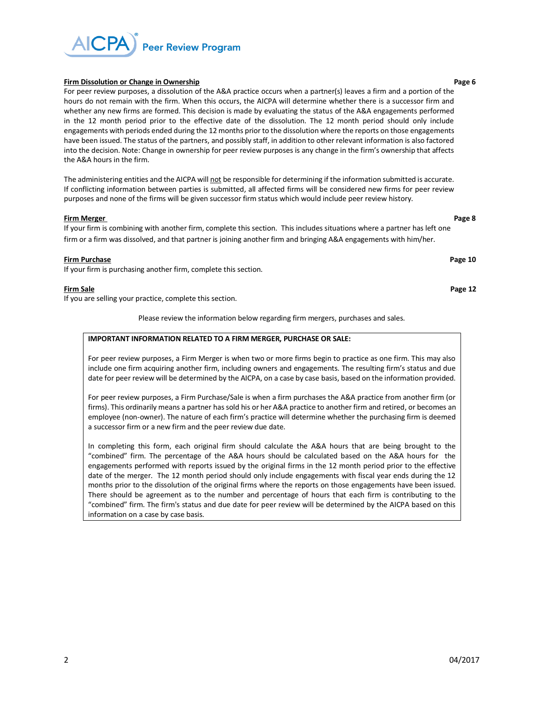**Peer Review Program** 

**Firm Dissolution or Change in Ownership Page 6 Page 6 Page 6 Page 6 Page 6 Page 6 Page 6 Page 6 Page 6 Page 6 Page 6 Page 6 Page 6 Page 6 Page 6 Page 6 Page 6 Page 6 Page 6 Page 1 P** For peer review purposes, a dissolution of the A&A practice occurs when a partner(s) leaves a firm and a portion of the hours do not remain with the firm. When this occurs, the AICPA will determine whether there is a successor firm and whether any new firms are formed. This decision is made by evaluating the status of the A&A engagements performed in the 12 month period prior to the effective date of the dissolution. The 12 month period should only include engagements with periods ended during the 12 months prior to the dissolution where the reports on those engagements have been issued. The status of the partners, and possibly staff, in addition to other relevant information is also factored into the decision. Note: Change in ownership for peer review purposes is any change in the firm's ownership that affects the A&A hours in the firm.

The administering entities and the AICPA will not be responsible for determining if the information submitted is accurate. If conflicting information between parties is submitted, all affected firms will be considered new firms for peer review purposes and none of the firms will be given successor firm status which would include peer review history.

### **Firm Merger Page 8**

If your firm is combining with another firm, complete this section. This includes situations where a partner has left one firm or a firm was dissolved, and that partner is joining another firm and bringing A&A engagements with him/her.

### **Firm Purchase** Page 10 **Page 10 Page 10 Page 10 Page 10 Page 10 Page 10 Page 10**

If your firm is purchasing another firm, complete this section.

### **Firm Sale** Page 12

If you are selling your practice, complete this section.

Please review the information below regarding firm mergers, purchases and sales.

### **IMPORTANT INFORMATION RELATED TO A FIRM MERGER, PURCHASE OR SALE:**

For peer review purposes, a Firm Merger is when two or more firms begin to practice as one firm. This may also include one firm acquiring another firm, including owners and engagements. The resulting firm's status and due date for peer review will be determined by the AICPA, on a case by case basis, based on the information provided.

For peer review purposes, a Firm Purchase/Sale is when a firm purchases the A&A practice from another firm (or firms). This ordinarily means a partner has sold his or her A&A practice to another firm and retired, or becomes an employee (non-owner). The nature of each firm's practice will determine whether the purchasing firm is deemed a successor firm or a new firm and the peer review due date.

In completing this form, each original firm should calculate the A&A hours that are being brought to the "combined" firm. The percentage of the A&A hours should be calculated based on the A&A hours for the engagements performed with reports issued by the original firms in the 12 month period prior to the effective date of the merger. The 12 month period should only include engagements with fiscal year ends during the 12 months prior to the dissolution of the original firms where the reports on those engagements have been issued. There should be agreement as to the number and percentage of hours that each firm is contributing to the "combined" firm. The firm's status and due date for peer review will be determined by the AICPA based on this information on a case by case basis.

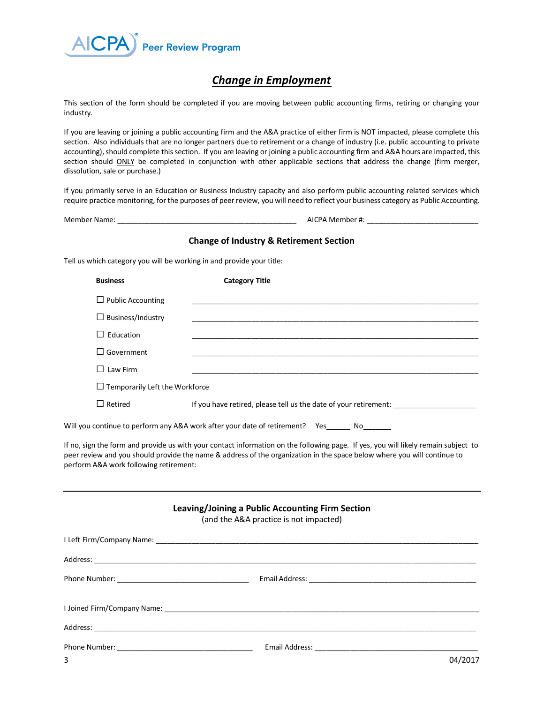

# *Change in Employment*

This section of the form should be completed if you are moving between public accounting firms, retiring or changing your industry.

If you are leaving or joining a public accounting firm and the A&A practice of either firm is NOT impacted, please complete this section. Also individuals that are no longer partners due to retirement or a change of industry (i.e. public accounting to private accounting), should complete this section. If you are leaving or joining a public accounting firm and A&A hours are impacted, this section should ONLY be completed in conjunction with other applicable sections that address the change (firm merger, dissolution, sale or purchase.)

If you primarily serve in an Education or Business Industry capacity and also perform public accounting related services which require practice monitoring, for the purposes of peer review, you will need to reflect your business category as Public Accounting.

Member Name: \_\_\_\_\_\_\_\_\_\_\_\_\_\_\_\_\_\_\_\_\_\_\_\_\_\_\_\_\_\_\_\_\_\_\_\_\_\_\_\_\_\_\_\_\_ AICPA Member #: \_\_\_\_\_\_\_\_\_\_\_\_\_\_\_\_\_\_\_\_\_\_\_\_\_\_\_\_

# **Change of Industry & Retirement Section**  Tell us which category you will be working in and provide your title: **Business Category Title**  $\Box$  Public Accounting  $\Box$  Business/Industry □ Education \_\_\_\_\_\_\_\_\_\_\_\_\_\_\_\_\_\_\_\_\_\_\_\_\_\_\_\_\_\_\_\_\_\_\_\_\_\_\_\_\_\_\_\_\_\_\_\_\_\_\_\_\_\_\_\_\_\_\_\_\_\_\_\_\_\_\_\_\_\_\_\_ □ Government \_\_\_\_\_\_\_\_\_\_\_\_\_\_\_\_\_\_\_\_\_\_\_\_\_\_\_\_\_\_\_\_\_\_\_\_\_\_\_\_\_\_\_\_\_\_\_\_\_\_\_\_\_\_\_\_\_\_\_\_\_\_\_\_\_\_\_\_\_\_\_\_ □ Law Firm \_\_\_\_\_\_\_\_\_\_\_\_\_\_\_\_\_\_\_\_\_\_\_\_\_\_\_\_\_\_\_\_\_\_\_\_\_\_\_\_\_\_\_\_\_\_\_\_\_\_\_\_\_\_\_\_\_\_\_\_\_\_\_\_\_\_\_\_\_\_\_\_  $\Box$  Temporarily Left the Workforce □Retired If you have retired, please tell us the date of your retirement: \_\_\_\_\_\_\_\_\_\_\_\_\_\_\_\_\_\_\_\_\_ Will you continue to perform any A&A work after your date of retirement? Yes\_\_\_\_\_\_ No\_\_\_\_\_\_ If no, sign the form and provide us with your contact information on the following page. If yes, you will likely remain subject to peer review and you should provide the name & address of the organization in the space below where you will continue to perform A&A work following retirement:

### **Leaving/Joining a Public Accounting Firm Section**

(and the A&A practice is not impacted)

| 3 | 04/2017 |
|---|---------|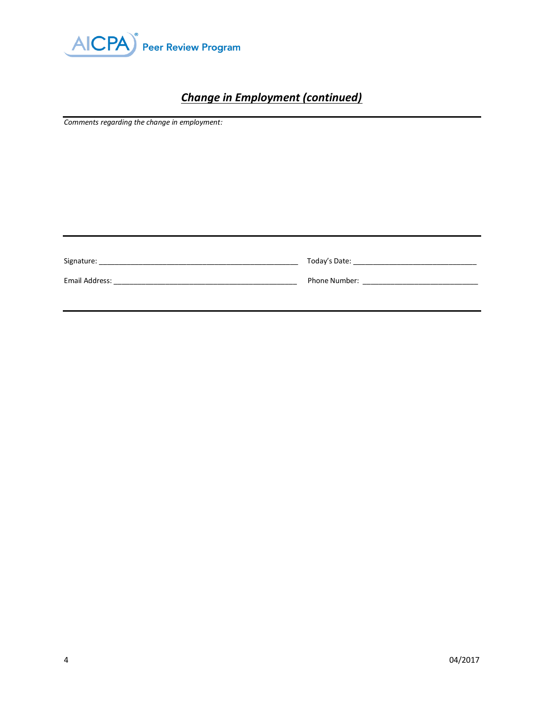

# *Change in Employment (continued)*

*Comments regarding the change in employment:*

| Signature:     | Today's Date:        |
|----------------|----------------------|
| Email Address: | <b>Phone Number:</b> |
|                |                      |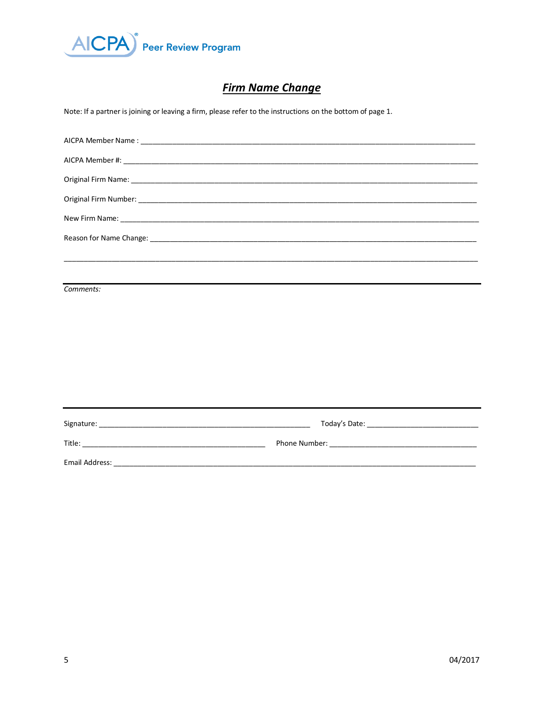

# **Firm Name Change**

Note: If a partner is joining or leaving a firm, please refer to the instructions on the bottom of page 1.

| Comments: |  |
|-----------|--|
|           |  |
|           |  |
|           |  |
|           |  |
|           |  |
|           |  |
|           |  |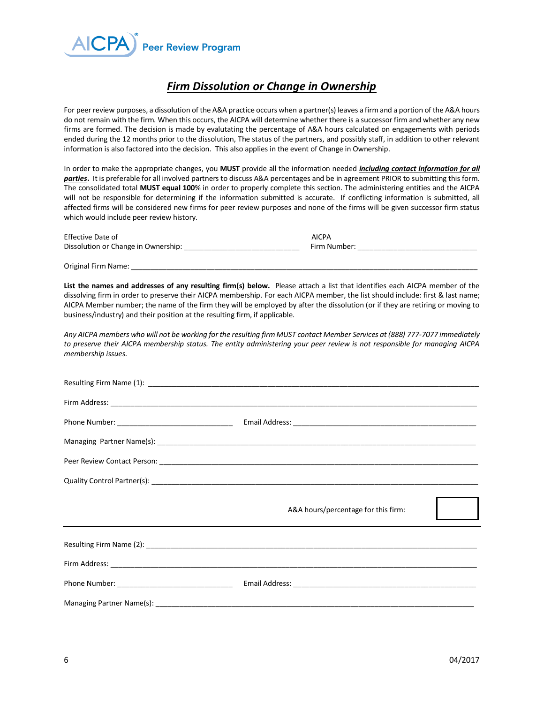

# *Firm Dissolution or Change in Ownership*

For peer review purposes, a dissolution of the A&A practice occurs when a partner(s) leaves a firm and a portion of the A&A hours do not remain with the firm. When this occurs, the AICPA will determine whether there is a successor firm and whether any new firms are formed. The decision is made by evalutating the percentage of A&A hours calculated on engagements with periods ended during the 12 months prior to the dissolution, The status of the partners, and possibly staff, in addition to other relevant information is also factored into the decision. This also applies in the event of Change in Ownership.

In order to make the appropriate changes, you **MUST** provide all the information needed *including contact information for all parties***.** It is preferable for all involved partners to discuss A&A percentages and be in agreement PRIOR to submitting this form. The consolidated total **MUST equal 100**% in order to properly complete this section. The administering entities and the AICPA will not be responsible for determining if the information submitted is accurate. If conflicting information is submitted, all affected firms will be considered new firms for peer review purposes and none of the firms will be given successor firm status which would include peer review history.

| <b>Effective Date of</b>            | <b>AICPA</b> |
|-------------------------------------|--------------|
| Dissolution or Change in Ownership: | Firm Number: |

Original Firm Name:

**List the names and addresses of any resulting firm(s) below.** Please attach a list that identifies each AICPA member of the dissolving firm in order to preserve their AICPA membership. For each AICPA member, the list should include: first & last name; AICPA Member number; the name of the firm they will be employed by after the dissolution (or if they are retiring or moving to business/industry) and their position at the resulting firm, if applicable.

*Any AICPA members who will not be working for the resulting firm MUST contact Member Services at (888) 777-7077 immediately to preserve their AICPA membership status. The entity administering your peer review is not responsible for managing AICPA membership issues.* 

| A&A hours/percentage for this firm: |
|-------------------------------------|
|                                     |
|                                     |
|                                     |
|                                     |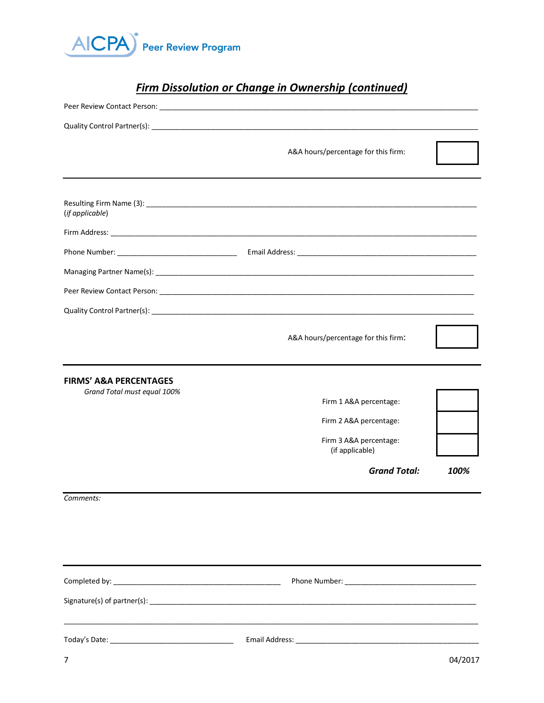

# *Firm Dissolution or Change in Ownership (continued)*

|                                                       | A&A hours/percentage for this firm:                                 |      |
|-------------------------------------------------------|---------------------------------------------------------------------|------|
| (if applicable)                                       |                                                                     |      |
|                                                       |                                                                     |      |
|                                                       |                                                                     |      |
|                                                       |                                                                     |      |
|                                                       |                                                                     |      |
|                                                       |                                                                     |      |
|                                                       | A&A hours/percentage for this firm:                                 |      |
|                                                       |                                                                     |      |
| FIRMS' A&A PERCENTAGES<br>Grand Total must equal 100% |                                                                     |      |
|                                                       | Firm 1 A&A percentage:                                              |      |
|                                                       | Firm 2 A&A percentage:<br>Firm 3 A&A percentage:<br>(if applicable) |      |
|                                                       | <b>Grand Total:</b>                                                 | 100% |
| Comments:                                             |                                                                     |      |
|                                                       |                                                                     |      |
|                                                       |                                                                     |      |
|                                                       |                                                                     |      |
|                                                       |                                                                     |      |
|                                                       |                                                                     |      |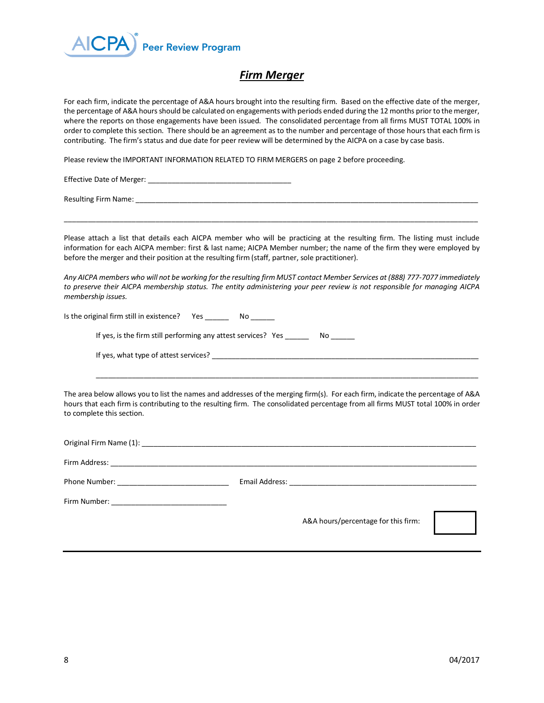

## *Firm Merger*

For each firm, indicate the percentage of A&A hours brought into the resulting firm. Based on the effective date of the merger, the percentage of A&A hours should be calculated on engagements with periods ended during the 12 months prior to the merger, where the reports on those engagements have been issued. The consolidated percentage from all firms MUST TOTAL 100% in order to complete this section. There should be an agreement as to the number and percentage of those hours that each firm is contributing. The firm's status and due date for peer review will be determined by the AICPA on a case by case basis.

Please review the IMPORTANT INFORMATION RELATED TO FIRM MERGERS on page 2 before proceeding.

Effective Date of Merger: \_\_\_\_\_\_\_\_\_\_\_\_\_\_\_\_\_\_\_\_\_\_\_\_\_\_\_\_\_\_\_\_\_\_\_\_

Resulting Firm Name:  $\Box$ 

Please attach a list that details each AICPA member who will be practicing at the resulting firm. The listing must include information for each AICPA member: first & last name; AICPA Member number; the name of the firm they were employed by before the merger and their position at the resulting firm (staff, partner, sole practitioner).

\_\_\_\_\_\_\_\_\_\_\_\_\_\_\_\_\_\_\_\_\_\_\_\_\_\_\_\_\_\_\_\_\_\_\_\_\_\_\_\_\_\_\_\_\_\_\_\_\_\_\_\_\_\_\_\_\_\_\_\_\_\_\_\_\_\_\_\_\_\_\_\_\_\_\_\_\_\_\_\_\_\_\_\_\_\_\_\_\_\_\_\_\_\_\_\_\_\_\_\_\_\_\_\_

*Any AICPA members who will not be working for the resulting firm MUST contact Member Services at (888) 777-7077 immediately to preserve their AICPA membership status. The entity administering your peer review is not responsible for managing AICPA membership issues.* 

Is the original firm still in existence? Yes \_\_\_\_\_\_\_\_ No \_\_\_\_\_

If yes, is the firm still performing any attest services? Yes \_\_\_\_\_\_\_ No \_\_\_\_\_\_

If yes, what type of attest services?

The area below allows you to list the names and addresses of the merging firm(s). For each firm, indicate the percentage of A&A hours that each firm is contributing to the resulting firm. The consolidated percentage from all firms MUST total 100% in order to complete this section.

 $\_$  ,  $\_$  ,  $\_$  ,  $\_$  ,  $\_$  ,  $\_$  ,  $\_$  ,  $\_$  ,  $\_$  ,  $\_$  ,  $\_$  ,  $\_$  ,  $\_$  ,  $\_$  ,  $\_$  ,  $\_$  ,  $\_$  ,  $\_$  ,  $\_$  ,  $\_$  ,  $\_$  ,  $\_$  ,  $\_$  ,  $\_$  ,  $\_$  ,  $\_$  ,  $\_$  ,  $\_$  ,  $\_$  ,  $\_$  ,  $\_$  ,  $\_$  ,  $\_$  ,  $\_$  ,  $\_$  ,  $\_$  ,  $\_$  ,

|  | A&A hours/percentage for this firm: |  |
|--|-------------------------------------|--|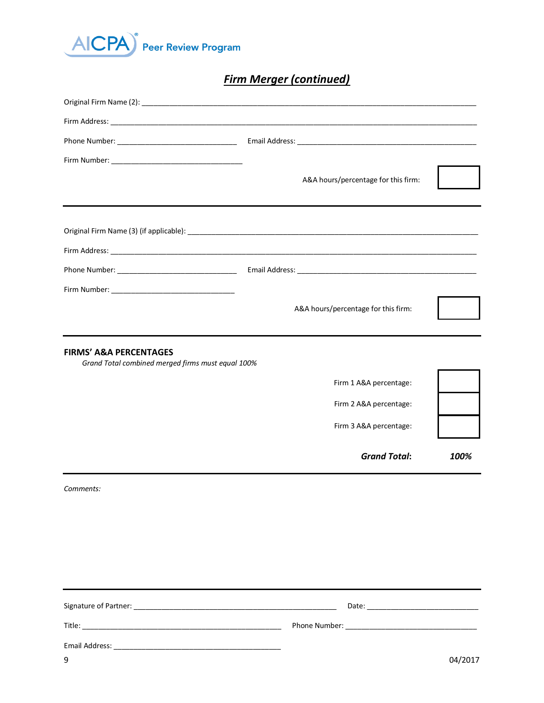

# *Firm Merger (continued)*

|                                                                                        | A&A hours/percentage for this firm: |      |
|----------------------------------------------------------------------------------------|-------------------------------------|------|
|                                                                                        |                                     |      |
|                                                                                        |                                     |      |
|                                                                                        |                                     |      |
|                                                                                        |                                     |      |
|                                                                                        |                                     |      |
|                                                                                        | A&A hours/percentage for this firm: |      |
|                                                                                        |                                     |      |
| <b>FIRMS' A&amp;A PERCENTAGES</b><br>Grand Total combined merged firms must equal 100% |                                     |      |
|                                                                                        | Firm 1 A&A percentage:              |      |
|                                                                                        | Firm 2 A&A percentage:              |      |
|                                                                                        | Firm 3 A&A percentage:              |      |
|                                                                                        | <b>Grand Total:</b>                 | 100% |
| Comments:                                                                              |                                     |      |
|                                                                                        |                                     |      |
|                                                                                        |                                     |      |
|                                                                                        |                                     |      |
|                                                                                        |                                     |      |
|                                                                                        |                                     |      |
|                                                                                        |                                     |      |

| Signature of Partner: | Date:         |
|-----------------------|---------------|
| Title:                | Phone Number: |
| Email Address:        |               |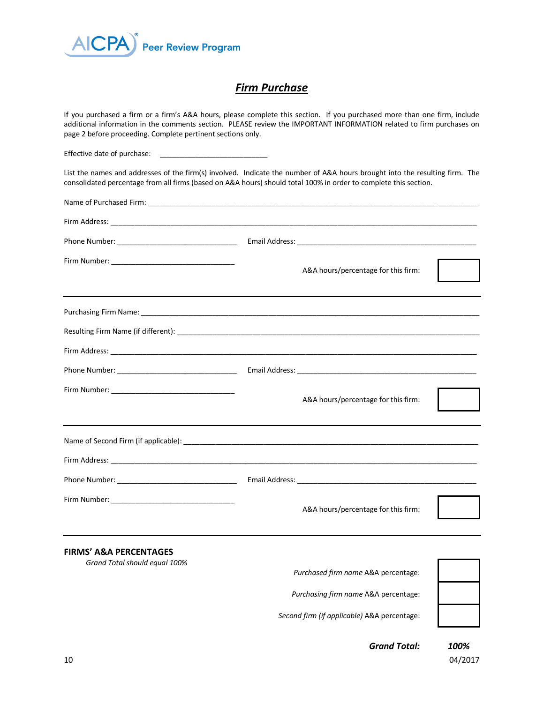

## *Firm Purchase*

If you purchased a firm or a firm's A&A hours, please complete this section. If you purchased more than one firm, include additional information in the comments section. PLEASE review the IMPORTANT INFORMATION related to firm purchases on page 2 before proceeding. Complete pertinent sections only.

Effective date of purchase:

List the names and addresses of the firm(s) involved. Indicate the number of A&A hours brought into the resulting firm. The consolidated percentage from all firms (based on A&A hours) should total 100% in order to complete this section.

|                                                                    | A&A hours/percentage for this firm: |
|--------------------------------------------------------------------|-------------------------------------|
|                                                                    |                                     |
|                                                                    |                                     |
|                                                                    |                                     |
|                                                                    |                                     |
|                                                                    | A&A hours/percentage for this firm: |
|                                                                    |                                     |
|                                                                    |                                     |
|                                                                    |                                     |
|                                                                    | A&A hours/percentage for this firm: |
| <b>FIRMS' A&amp;A PERCENTAGES</b><br>Grand Total should equal 100% |                                     |
|                                                                    | Purchased firm name A&A percentage: |

*Purchasing firm name* A&A percentage:

*Second firm (if applicable)* A&A percentage:



 *Grand Total: 100%*

 $10$  04/2017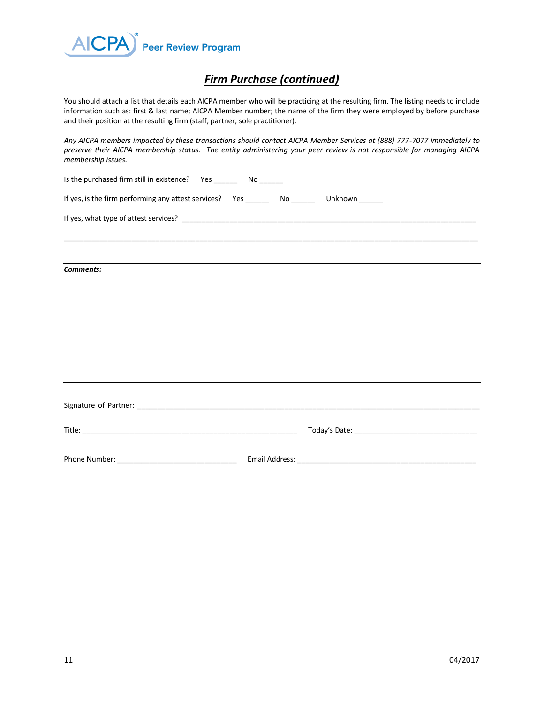

# *Firm Purchase (continued)*

You should attach a list that details each AICPA member who will be practicing at the resulting firm. The listing needs to include information such as: first & last name; AICPA Member number; the name of the firm they were employed by before purchase and their position at the resulting firm (staff, partner, sole practitioner).

*Any AICPA members impacted by these transactions should contact AICPA Member Services at (888) 777-7077 immediately to preserve their AICPA membership status. The entity administering your peer review is not responsible for managing AICPA membership issues.* 

| Is the purchased firm still in existence?  Yes _________  No _______                         |  |  |
|----------------------------------------------------------------------------------------------|--|--|
| If yes, is the firm performing any attest services? Yes _________ No ________ Unknown ______ |  |  |
|                                                                                              |  |  |
|                                                                                              |  |  |
| Comments:                                                                                    |  |  |
|                                                                                              |  |  |
|                                                                                              |  |  |
|                                                                                              |  |  |
|                                                                                              |  |  |
|                                                                                              |  |  |
|                                                                                              |  |  |
|                                                                                              |  |  |